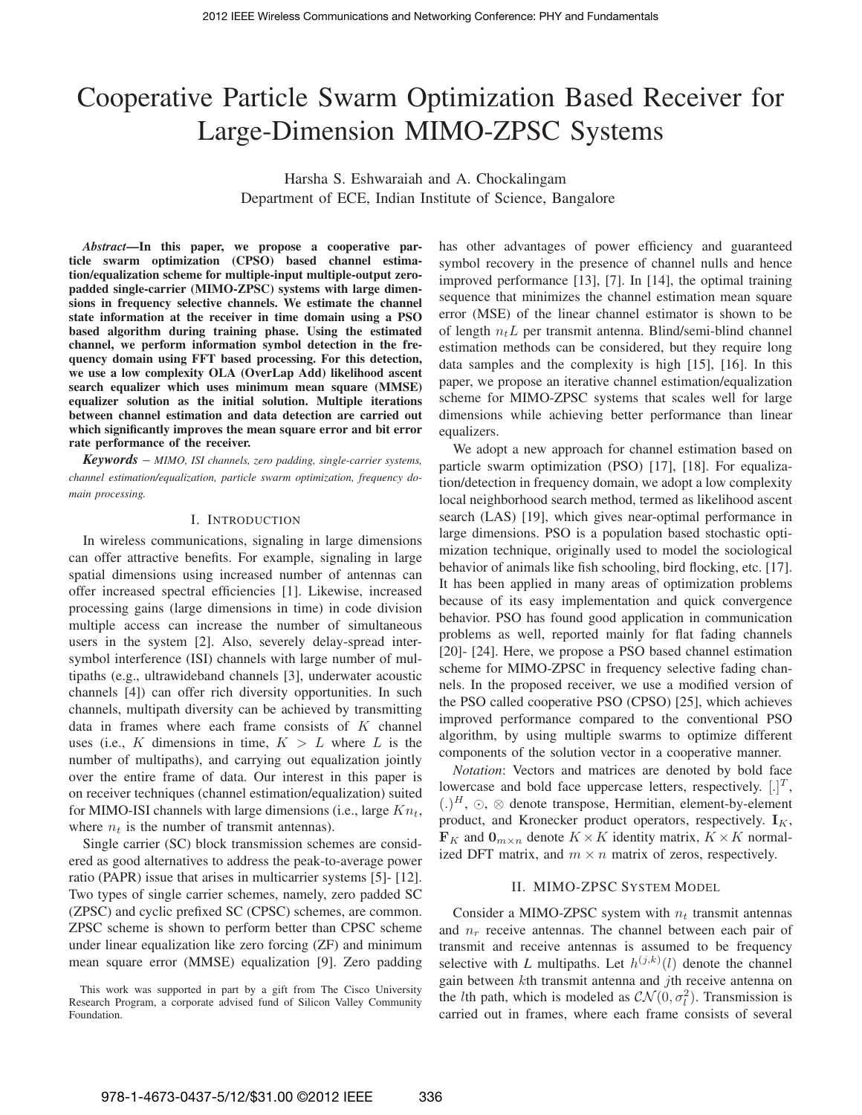# Cooperative Particle Swarm Optimization Based Receiver for Large-Dimension MIMO-ZPSC Systems

Harsha S. Eshwaraiah and A. Chockalingam Department of ECE, Indian Institute of Science, Bangalore

*Abstract***—In this paper, we propose a cooperative particle swarm optimization (CPSO) based channel estimation/equalization scheme for multiple-input multiple-output zeropadded single-carrier (MIMO-ZPSC) systems with large dimensions in frequency selective channels. We estimate the channel state information at the receiver in time domain using a PSO based algorithm during training phase. Using the estimated channel, we perform information symbol detection in the frequency domain using FFT based processing. For this detection, we use a low complexity OLA (OverLap Add) likelihood ascent search equalizer which uses minimum mean square (MMSE) equalizer solution as the initial solution. Multiple iterations between channel estimation and data detection are carried out which significantly improves the mean square error and bit error rate performance of the receiver.**

*Keywords* – *MIMO, ISI channels, zero padding, single-carrier systems, channel estimation/equalization, particle swarm optimization, frequency domain processing.*

## I. INTRODUCTION

In wireless communications, signaling in large dimensions can offer attractive benefits. For example, signaling in large spatial dimensions using increased number of antennas can offer increased spectral efficiencies [1]. Likewise, increased processing gains (large dimensions in time) in code division multiple access can increase the number of simultaneous users in the system [2]. Also, severely delay-spread intersymbol interference (ISI) channels with large number of multipaths (e.g., ultrawideband channels [3], underwater acoustic channels [4]) can offer rich diversity opportunities. In such channels, multipath diversity can be achieved by transmitting data in frames where each frame consists of  $K$  channel uses (i.e., K dimensions in time,  $K > L$  where L is the number of multipaths), and carrying out equalization jointly over the entire frame of data. Our interest in this paper is on receiver techniques (channel estimation/equalization) suited for MIMO-ISI channels with large dimensions (i.e., large  $Kn_t$ , where  $n_t$  is the number of transmit antennas).

Single carrier (SC) block transmission schemes are considered as good alternatives to address the peak-to-average power ratio (PAPR) issue that arises in multicarrier systems [5]- [12]. Two types of single carrier schemes, namely, zero padded SC (ZPSC) and cyclic prefixed SC (CPSC) schemes, are common. ZPSC scheme is shown to perform better than CPSC scheme under linear equalization like zero forcing (ZF) and minimum mean square error (MMSE) equalization [9]. Zero padding

This work was supported in part by a gift from The Cisco University Research Program, a corporate advised fund of Silicon Valley Community Foundation.

has other advantages of power efficiency and guaranteed symbol recovery in the presence of channel nulls and hence improved performance [13], [7]. In [14], the optimal training sequence that minimizes the channel estimation mean square error (MSE) of the linear channel estimator is shown to be of length  $n_t L$  per transmit antenna. Blind/semi-blind channel estimation methods can be considered, but they require long data samples and the complexity is high [15], [16]. In this paper, we propose an iterative channel estimation/equalization scheme for MIMO-ZPSC systems that scales well for large dimensions while achieving better performance than linear equalizers.

We adopt a new approach for channel estimation based on particle swarm optimization (PSO) [17], [18]. For equalization/detection in frequency domain, we adopt a low complexity local neighborhood search method, termed as likelihood ascent search (LAS) [19], which gives near-optimal performance in large dimensions. PSO is a population based stochastic optimization technique, originally used to model the sociological behavior of animals like fish schooling, bird flocking, etc. [17]. It has been applied in many areas of optimization problems because of its easy implementation and quick convergence behavior. PSO has found good application in communication problems as well, reported mainly for flat fading channels [20]- [24]. Here, we propose a PSO based channel estimation scheme for MIMO-ZPSC in frequency selective fading channels. In the proposed receiver, we use a modified version of the PSO called cooperative PSO (CPSO) [25], which achieves improved performance compared to the conventional PSO algorithm, by using multiple swarms to optimize different components of the solution vector in a cooperative manner.

*Notation*: Vectors and matrices are denoted by bold face lowercase and bold face uppercase letters, respectively.  $[.]^T$ ,  $(.)^H$ ,  $\odot$ ,  $\otimes$  denote transpose, Hermitian, element-by-element product, and Kronecker product operators, respectively.  $I_K$ ,  $\mathbf{F}_K$  and  $\mathbf{0}_{m \times n}$  denote  $K \times K$  identity matrix,  $K \times K$  normalized DFT matrix, and  $m \times n$  matrix of zeros, respectively.

#### II. MIMO-ZPSC SYSTEM MODEL

Consider a MIMO-ZPSC system with  $n_t$  transmit antennas and  $n_r$  receive antennas. The channel between each pair of transmit and receive antennas is assumed to be frequency selective with *L* multipaths. Let  $h^{(j,k)}(l)$  denote the channel gain between  $k$ th transmit antenna and  $j$ th receive antenna on the *l*th path, which is modeled as  $CN(0, \sigma_l^2)$ . Transmission is carried out in frames, where each frame consists of several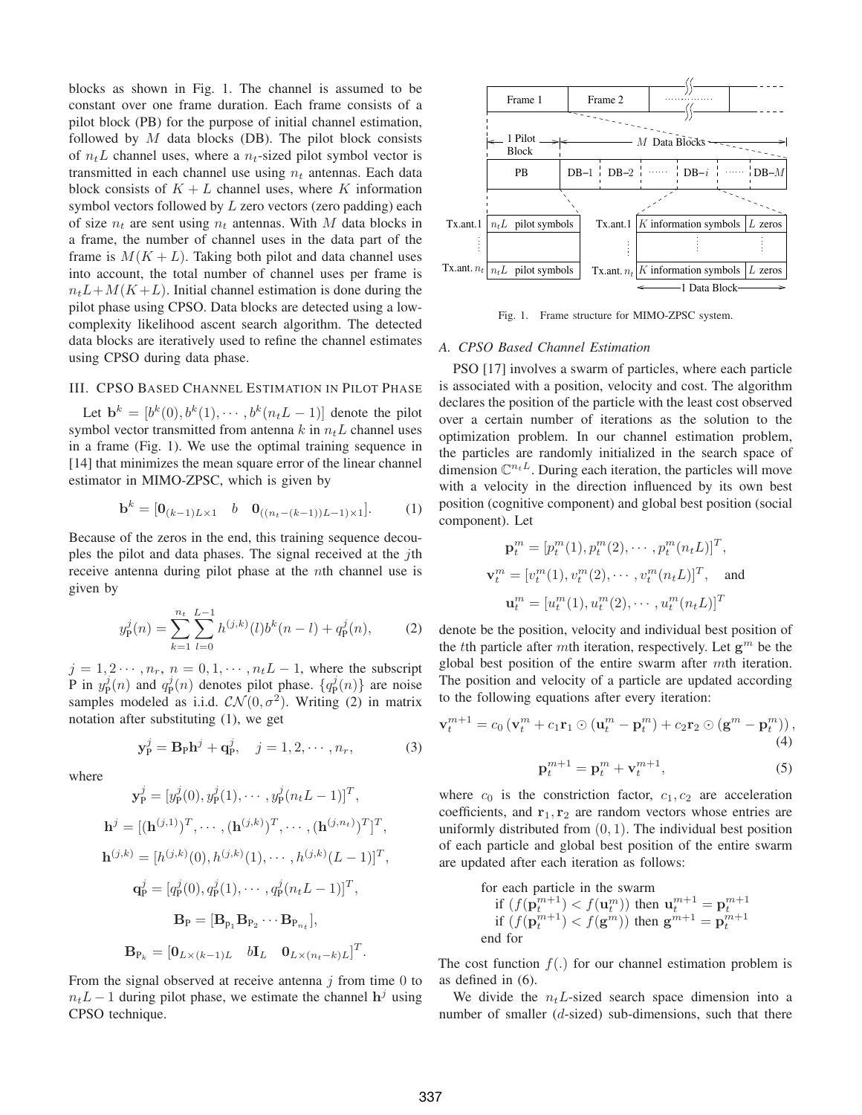blocks as shown in Fig. 1. The channel is assumed to be constant over one frame duration. Each frame consists of a pilot block (PB) for the purpose of initial channel estimation, followed by  $M$  data blocks (DB). The pilot block consists of  $n_t L$  channel uses, where a  $n_t$ -sized pilot symbol vector is transmitted in each channel use using  $n_t$  antennas. Each data block consists of  $K + L$  channel uses, where K information symbol vectors followed by  $L$  zero vectors (zero padding) each of size  $n_t$  are sent using  $n_t$  antennas. With M data blocks in a frame, the number of channel uses in the data part of the frame is  $M(K + L)$ . Taking both pilot and data channel uses into account, the total number of channel uses per frame is  $n_{+}L+M(K+L)$ . Initial channel estimation is done during the pilot phase using CPSO. Data blocks are detected using a lowcomplexity likelihood ascent search algorithm. The detected data blocks are iteratively used to refine the channel estimates using CPSO during data phase.

## III. CPSO BASED CHANNEL ESTIMATION IN PILOT PHASE

Let  $\mathbf{b}^{k} = [b^{k}(0), b^{k}(1), \cdots, b^{k}(n_{t}L-1)]$  denote the pilot symbol vector transmitted from antenna  $k$  in  $n_t L$  channel uses in a frame (Fig. 1). We use the optimal training sequence in [14] that minimizes the mean square error of the linear channel estimator in MIMO-ZPSC, which is given by

$$
\mathbf{b}^{k} = [\mathbf{0}_{(k-1)L \times 1} \quad b \quad \mathbf{0}_{((n_t - (k-1))L - 1) \times 1}]. \tag{1}
$$

Because of the zeros in the end, this training sequence decouples the pilot and data phases. The signal received at the *i*th receive antenna during pilot phase at the *n*th channel use is given by

$$
y_P^j(n) = \sum_{k=1}^{n_t} \sum_{l=0}^{L-1} h^{(j,k)}(l) b^k(n-l) + q_P^j(n), \tag{2}
$$

 $j = 1, 2 \cdots, n_r, n = 0, 1, \cdots, n_t L - 1$ , where the subscript P in  $y_P^j(n)$  and  $q_P^j(n)$  denotes pilot phase.  $\{q_P^j(n)\}\$  are noise samples modeled as i.i.d.  $\mathcal{CN}(0, \sigma^2)$ . Writing (2) in matrix notation after substituting (1), we get

$$
\mathbf{y}_{\mathrm{P}}^{j} = \mathbf{B}_{\mathrm{P}} \mathbf{h}^{j} + \mathbf{q}_{\mathrm{P}}^{j}, \quad j = 1, 2, \cdots, n_{r}, \tag{3}
$$

where

$$
\mathbf{y}_{P}^{j} = [y_{P}^{j}(0), y_{P}^{j}(1), \cdots, y_{P}^{j}(n_{t}L-1)]^{T},
$$
  
\n
$$
\mathbf{h}^{j} = [(\mathbf{h}^{(j,1)})^{T}, \cdots, (\mathbf{h}^{(j,k)})^{T}, \cdots, (\mathbf{h}^{(j,n_{t})})^{T}]^{T},
$$
  
\n
$$
\mathbf{h}^{(j,k)} = [h^{(j,k)}(0), h^{(j,k)}(1), \cdots, h^{(j,k)}(L-1)]^{T},
$$
  
\n
$$
\mathbf{q}_{P}^{j} = [q_{P}^{j}(0), q_{P}^{j}(1), \cdots, q_{P}^{j}(n_{t}L-1)]^{T},
$$
  
\n
$$
\mathbf{B}_{P} = [\mathbf{B}_{p_{1}} \mathbf{B}_{p_{2}} \cdots \mathbf{B}_{p_{n_{t}}}],
$$
  
\n
$$
\mathbf{B}_{p_{k}} = [\mathbf{0}_{L \times (k-1)L} \quad b\mathbf{I}_{L} \quad \mathbf{0}_{L \times (n_{t}-k)L}]^{T}.
$$

From the signal observed at receive antenna  $\dot{\gamma}$  from time 0 to  $n_t L - 1$  during pilot phase, we estimate the channel  $h^j$  using CPSO technique.



Fig. 1. Frame structure for MIMO-ZPSC system.

#### *A. CPSO Based Channel Estimation*

PSO [17] involves a swarm of particles, where each particle is associated with a position, velocity and cost. The algorithm declares the position of the particle with the least cost observed over a certain number of iterations as the solution to the optimization problem. In our channel estimation problem, the particles are randomly initialized in the search space of dimension  $\mathbb{C}^{n_t L}$ . During each iteration, the particles will move with a velocity in the direction influenced by its own best position (cognitive component) and global best position (social component). Let

$$
\mathbf{p}_t^m = [p_t^m(1), p_t^m(2), \cdots, p_t^m(n_t L)]^T,
$$
  

$$
\mathbf{v}_t^m = [v_t^m(1), v_t^m(2), \cdots, v_t^m(n_t L)]^T,
$$
 and  

$$
\mathbf{u}_t^m = [u_t^m(1), u_t^m(2), \cdots, u_t^m(n_t L)]^T
$$

denote be the position, velocity and individual best position of the the particle after mth iteration, respectively. Let  $g^m$  be the global best position of the entire swarm after  $m$ th iteration. The position and velocity of a particle are updated according to the following equations after every iteration:

$$
\mathbf{v}_t^{m+1} = c_0 \left( \mathbf{v}_t^m + c_1 \mathbf{r}_1 \odot (\mathbf{u}_t^m - \mathbf{p}_t^m) + c_2 \mathbf{r}_2 \odot (\mathbf{g}^m - \mathbf{p}_t^m) \right),\tag{4}
$$

$$
\mathbf{p}_t^{m+1} = \mathbf{p}_t^m + \mathbf{v}_t^{m+1},\tag{5}
$$

where  $c_0$  is the constriction factor,  $c_1, c_2$  are acceleration coefficients, and  $\mathbf{r}_1, \mathbf{r}_2$  are random vectors whose entries are uniformly distributed from  $(0, 1)$ . The individual best position of each particle and global best position of the entire swarm are updated after each iteration as follows:

for each particle in the swarm  
if 
$$
(f(\mathbf{p}_t^{m+1}) < f(\mathbf{u}_t^m))
$$
 then  $\mathbf{u}_t^{m+1} = \mathbf{p}_t^{m+1}$   
if  $(f(\mathbf{p}_t^{m+1}) < f(\mathbf{g}^m))$  then  $\mathbf{g}^{m+1} = \mathbf{p}_t^{m+1}$   
end for

The cost function  $f(.)$  for our channel estimation problem is as defined in (6).

We divide the  $n_t L$ -sized search space dimension into a number of smaller  $(d\text{-sized})$  sub-dimensions, such that there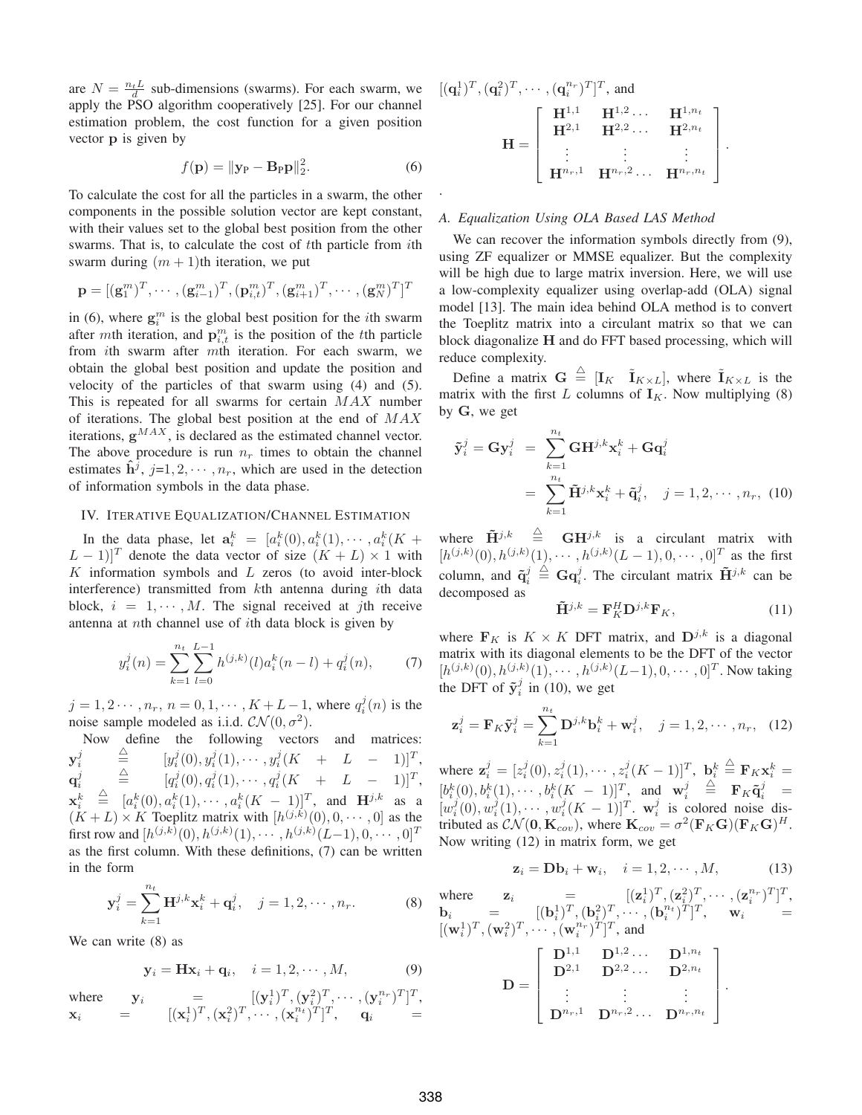are  $N = \frac{n_t L}{d}$  sub-dimensions (swarms). For each swarm, we apply the PSO algorithm cooperatively [25]. For our channel estimation problem, the cost function for a given position vector **p** is given by

$$
f(\mathbf{p}) = \|\mathbf{y}_{\mathbf{P}} - \mathbf{B}_{\mathbf{P}} \mathbf{p}\|_2^2.
$$
 (6)

To calculate the cost for all the particles in a swarm, the other components in the possible solution vector are kept constant, with their values set to the global best position from the other swarms. That is, to calculate the cost of the particle from ith swarm during  $(m + 1)$ th iteration, we put

$$
\mathbf{p} = [(\mathbf{g}_1^m)^T, \cdots, (\mathbf{g}_{i-1}^m)^T, (\mathbf{p}_{i,t}^m)^T, (\mathbf{g}_{i+1}^m)^T, \cdots, (\mathbf{g}_N^m)^T]^T
$$

in (6), where  $\mathbf{g}_i^m$  is the global best position for the *i*th swarm after mth iteration, and  $\mathbf{p}_{i,t}^m$  is the position of the t<sup>th</sup> particle from *i*th swarm after mth iteration. For each swarm, we obtain the global best position and update the position and velocity of the particles of that swarm using (4) and (5). This is repeated for all swarms for certain  $MAX$  number of iterations. The global best position at the end of  $MAX$ iterations,  $g^{MAX}$ , is declared as the estimated channel vector. The above procedure is run  $n_r$  times to obtain the channel estimates  $\mathbf{h}^j$ ,  $j=1,2,\cdots,n_r$ , which are used in the detection of information symbols in the data phase.

### IV. ITERATIVE EQUALIZATION/CHANNEL ESTIMATION

In the data phase, let  $a_i^k = [a_i^k(0), a_i^k(1), \cdots, a_i^k(K +$  $(L-1)$ ]<sup>T</sup> denote the data vector of size  $(K+L) \times 1$  with  $K$  information symbols and  $L$  zeros (to avoid inter-block interference) transmitted from  $k$ th antenna during ith data block,  $i = 1, \dots, M$ . The signal received at *i*th receive antenna at *n*th channel use of *i*th data block is given by

$$
y_i^j(n) = \sum_{k=1}^{n_t} \sum_{l=0}^{L-1} h^{(j,k)}(l) a_i^k(n-l) + q_i^j(n), \tag{7}
$$

 $j = 1, 2 \cdots, n_r, n = 0, 1, \cdots, K + L - 1$ , where  $q_i^j(n)$  is the noise sample modeled as i.i.d.  $CN(0, \sigma^2)$ .

Now define the following vectors and matrices:  $\mathbf{y}^j_i$  $\triangleq$  $\stackrel{\triangle}{=}$   $[y_i^j(0), y_i^j(1), \cdots, y_i^j(K + L - 1)]^T$ ,  $\mathbf{q}_i^j$  $\stackrel{\triangle}{=}$   $[q_i^j(0), q_i^j(1), \cdots, q_i^j(K + L - 1)]^T$ ,  $\mathbf{x}_i^k$  $\mathbf{X}_i = [\mathbf{a}_i(\mathbf{0}), \mathbf{a}_i(1), \cdots, \mathbf{a}_i(\mathbf{A} - 1)]$ , and  $\mathbf{H}^s$  as a  $(K+L) \times K$  Toeplitz matrix with  $[h^{(j,k)}(0), 0, \cdots, 0]$  as the  $\stackrel{\triangle}{=} [a_i^k(0), a_i^k(1), \cdots, a_i^k(K-1)]^T$ , and  $\mathbf{H}^{j,k}$  as a first row and  $[h^{(j,k)}(0), h^{(j,k)}(1), \cdots, h^{(j,k)}(L{-}1), 0, \cdots, 0]^T$ as the first column. With these definitions, (7) can be written in the form

$$
\mathbf{y}_i^j = \sum_{k=1}^{n_t} \mathbf{H}^{j,k} \mathbf{x}_i^k + \mathbf{q}_i^j, \quad j = 1, 2, \cdots, n_r.
$$
 (8)

We can write (8) as

$$
\mathbf{y}_i = \mathbf{H}\mathbf{x}_i + \mathbf{q}_i, \quad i = 1, 2, \cdots, M,
$$
 (9)

where  $\mathbf{y}_i = [(\mathbf{y}_i^1)^T, (\mathbf{y}_i^2)^T, \cdots, (\mathbf{y}_i^{n_r})^T]^T$ ,  $\mathbf{x}_i = [(\mathbf{x}_i^1)^T, (\mathbf{x}_i^2)^T, \cdots, (\mathbf{x}_i^{n_t})^T]^T, \quad \mathbf{q}_i =$ 

$$
[\mathbf{q}_{i}^{1})^{T}, (\mathbf{q}_{i}^{2})^{T}, \cdots, (\mathbf{q}_{i}^{n_{r}})^{T}]^{T}, \text{ and}
$$

$$
\mathbf{H} = \begin{bmatrix} \mathbf{H}^{1,1} & \mathbf{H}^{1,2} \cdots & \mathbf{H}^{1,n_{t}} \\ \mathbf{H}^{2,1} & \mathbf{H}^{2,2} \cdots & \mathbf{H}^{2,n_{t}} \\ \vdots & \vdots & \vdots \\ \mathbf{H}^{n_{r},1} & \mathbf{H}^{n_{r},2} \cdots & \mathbf{H}^{n_{r},n_{t}} \end{bmatrix}.
$$

#### *A. Equalization Using OLA Based LAS Method*

.

We can recover the information symbols directly from  $(9)$ , using ZF equalizer or MMSE equalizer. But the complexity will be high due to large matrix inversion. Here, we will use a low-complexity equalizer using overlap-add (OLA) signal model [13]. The main idea behind OLA method is to convert the Toeplitz matrix into a circulant matrix so that we can block diagonalize **H** and do FFT based processing, which will reduce complexity.

Define a matrix  $\mathbf{G} \triangleq [\mathbf{I}_K \ \tilde{\mathbf{I}}_{K \times L}]$ , where  $\tilde{\mathbf{I}}_{K \times L}$  is the matrix with the first  $L$  columns of  $\mathbf{I}_K$ . Now multiplying (8) by **G**, we get

$$
\tilde{\mathbf{y}}_i^j = \mathbf{G} \mathbf{y}_i^j = \sum_{k=1}^{n_t} \mathbf{G} \mathbf{H}^{j,k} \mathbf{x}_i^k + \mathbf{G} \mathbf{q}_i^j
$$
\n
$$
= \sum_{k=1}^{n_t} \tilde{\mathbf{H}}^{j,k} \mathbf{x}_i^k + \tilde{\mathbf{q}}_i^j, \quad j = 1, 2, \cdots, n_r, \tag{10}
$$

where  $\tilde{\mathbf{H}}^{j,k} \triangleq \mathbf{G}\mathbf{H}^{j,k}$  is a circulant matrix with  $[h^{(j,k)}(0), h^{(j,k)}(1), \cdots, h^{(j,k)}(L-1), 0, \cdots, 0]^T$  as the first column, and  $\tilde{\mathbf{q}}_i^j \triangleq \mathbf{G}\mathbf{q}_i^j$ . The circulant matrix  $\tilde{\mathbf{H}}^{j,k}$  can be decomposed as

$$
\tilde{\mathbf{H}}^{j,k} = \mathbf{F}_K^H \mathbf{D}^{j,k} \mathbf{F}_K, \tag{11}
$$

where  $\mathbf{F}_K$  is  $K \times K$  DFT matrix, and  $\mathbf{D}^{j,k}$  is a diagonal matrix with its diagonal elements to be the DFT of the vector  $[h^{(j,k)}(0), h^{(j,k)}(1), \cdots, h^{(j,k)}(L-1), 0, \cdots, 0]^T$ . Now taking the DFT of  $\tilde{\mathbf{y}}_i^j$  in (10), we get

$$
\mathbf{z}_i^j = \mathbf{F}_K \tilde{\mathbf{y}}_i^j = \sum_{k=1}^{n_t} \mathbf{D}^{j,k} \mathbf{b}_i^k + \mathbf{w}_i^j, \quad j = 1, 2, \cdots, n_r, \quad (12)
$$

where  $\mathbf{z}_i^j = [z_i^j(0), z_i^j(1), \cdots, z_i^j(K-1)]^T$ ,  $\mathbf{b}_i^k \stackrel{\triangle}{=} \mathbf{F}_K \mathbf{x}_i^k =$  $[b_i^k(0), b_i^k(1), \cdots, b_i^k(K-1)]^T$ , and  $\mathbf{w}_i^j \stackrel{\triangle}{=} \mathbf{F}_K \tilde{\mathbf{q}}_i^j =$  $[w_i^j(0), w_i^j(1), \cdots, w_i^j(K-1)]^T$ . **w**<sub>i</sub> is colored noise distributed as  $\mathcal{CN}(\mathbf{0}, \mathbf{K}_{cov})$ , where  $\mathbf{K}_{cov} = \sigma^2(\mathbf{F}_K \mathbf{G})(\mathbf{F}_K \mathbf{G})^H$ . Now writing (12) in matrix form, we get

$$
\mathbf{z}_i = \mathbf{D}\mathbf{b}_i + \mathbf{w}_i, \quad i = 1, 2, \cdots, M,
$$
 (13)

where 
$$
\mathbf{z}_i = [[(\mathbf{z}_i^1)^T, (\mathbf{z}_i^2)^T, \cdots, (\mathbf{z}_i^{n_r})^T]^T
$$
,  
\n $\mathbf{b}_i = [[(\mathbf{w}_i^1)^T, (\mathbf{w}_i^2)^T, \cdots, (\mathbf{w}_i^{n_r})^T]^T$ , and  
\n $[(\mathbf{w}_i^1)^T, (\mathbf{w}_i^2)^T, \cdots, (\mathbf{w}_i^{n_r})^T]^T$ , and  
\n
$$
\mathbf{D} = \begin{bmatrix} \mathbf{D}^{1,1} & \mathbf{D}^{1,2} & \cdots & \mathbf{D}^{1,n_t} \\ \mathbf{D}^{2,1} & \mathbf{D}^{2,2} & \cdots & \mathbf{D}^{2,n_t} \\ \vdots & \vdots & \ddots & \vdots \\ \mathbf{D}^{n_r,1} & \mathbf{D}^{n_r,2} & \cdots & \mathbf{D}^{n_r,n_t} \end{bmatrix}
$$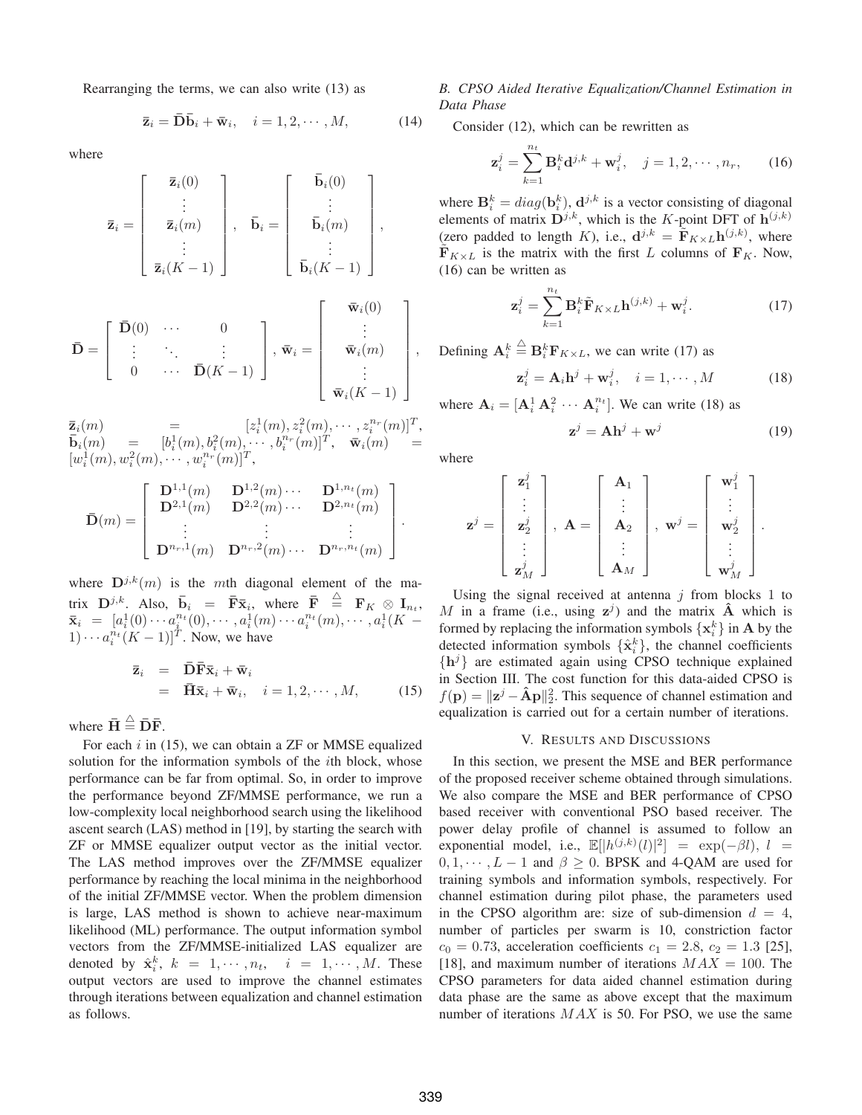Rearranging the terms, we can also write (13) as

$$
\overline{\mathbf{z}}_i = \overline{\mathbf{D}} \overline{\mathbf{b}}_i + \overline{\mathbf{w}}_i, \quad i = 1, 2, \cdots, M,
$$
 (14)

where

$$
\mathbf{\bar{z}}_i = \begin{bmatrix} \mathbf{\bar{z}}_i(0) \\ \vdots \\ \mathbf{\bar{z}}_i(m) \\ \vdots \\ \mathbf{\bar{z}}_i(K-1) \end{bmatrix}, \quad \mathbf{\bar{b}}_i = \begin{bmatrix} \mathbf{\bar{b}}_i(0) \\ \vdots \\ \mathbf{\bar{b}}_i(m) \\ \vdots \\ \mathbf{\bar{b}}_i(K-1) \end{bmatrix},
$$

$$
\mathbf{\bar{D}} = \begin{bmatrix} \mathbf{\bar{D}}(0) & \cdots & 0 \\ \vdots & \ddots & \vdots \\ 0 & \cdots & \mathbf{\bar{D}}(K-1) \end{bmatrix}, \quad \mathbf{\bar{w}}_i = \begin{bmatrix} \mathbf{\bar{w}}_i(0) \\ \vdots \\ \mathbf{\bar{w}}_i(m) \\ \vdots \\ \mathbf{\bar{w}}_i(m) \end{bmatrix}
$$

 $\mathbf{\bar{z}}_i(m) = [z_i^1(m), z_i^2(m), \cdots, z_i^{n_r}(m)]^T,$  $\bar{\mathbf{b}}_i(m) = [b_i^1(m), b_i^2(m), \cdots, b_i^{n_r}(m)]^T$ ,  $\bar{\mathbf{w}}_i(m)$  =  $[w_i^1(m), w_i^2(m), \cdots, w_i^{n_r}(m)]^T$ ,

$$
\bar{\mathbf{D}}(m) = \left[ \begin{array}{cccc} \mathbf{D}^{1,1}(m) & \mathbf{D}^{1,2}(m) \cdots & \mathbf{D}^{1,n_t}(m) \\ \mathbf{D}^{2,1}(m) & \mathbf{D}^{2,2}(m) \cdots & \mathbf{D}^{2,n_t}(m) \\ \vdots & \vdots & \vdots \\ \mathbf{D}^{n_r,1}(m) & \mathbf{D}^{n_r,2}(m) \cdots & \mathbf{D}^{n_r,n_t}(m) \end{array} \right].
$$

where  $D^{j,k}(m)$  is the mth diagonal element of the matrix  $\mathbf{D}^{j,k}$ . Also,  $\bar{\mathbf{b}}_i = \bar{\mathbf{F}} \bar{\mathbf{x}}_i$ , where  $\bar{\mathbf{F}} \stackrel{\triangle}{=} \mathbf{F}_K \otimes \mathbf{I}_{n_t}$ ,  $\bar{\mathbf{x}}_i = [a_i^1(0) \cdots a_i^{n_t}(0), \cdots, a_i^1(m) \cdots a_i^{n_t}(m), \cdots, a_i^1(K-1)]$  $(1) \cdots a_i^{n_i} (K-1)$ <sup>T</sup>. Now, we have

$$
\begin{array}{rcl}\n\bar{\mathbf{z}}_i & = & \bar{\mathbf{D}} \bar{\mathbf{F}} \bar{\mathbf{x}}_i + \bar{\mathbf{w}}_i \\
& = & \bar{\mathbf{H}} \bar{\mathbf{x}}_i + \bar{\mathbf{w}}_i, \quad i = 1, 2, \cdots, M,\n\end{array} \tag{15}
$$

where  $\bar{\mathbf{H}} \stackrel{\triangle}{=} \bar{\mathbf{D}} \bar{\mathbf{F}}$ .

For each  $i$  in (15), we can obtain a ZF or MMSE equalized solution for the information symbols of the *i*th block, whose performance can be far from optimal. So, in order to improve the performance beyond ZF/MMSE performance, we run a low-complexity local neighborhood search using the likelihood ascent search (LAS) method in [19], by starting the search with ZF or MMSE equalizer output vector as the initial vector. The LAS method improves over the ZF/MMSE equalizer performance by reaching the local minima in the neighborhood of the initial ZF/MMSE vector. When the problem dimension is large, LAS method is shown to achieve near-maximum likelihood (ML) performance. The output information symbol vectors from the ZF/MMSE-initialized LAS equalizer are denoted by  $\hat{\mathbf{x}}_i^k$ ,  $k = 1, \dots, n_t$ ,  $i = 1, \dots, M$ . These output vectors are used to improve the channel estimates through iterations between equalization and channel estimation as follows.

## *B. CPSO Aided Iterative Equalization/Channel Estimation in Data Phase*

Consider (12), which can be rewritten as

$$
\mathbf{z}_i^j = \sum_{k=1}^{n_t} \mathbf{B}_i^k \mathbf{d}^{j,k} + \mathbf{w}_i^j, \quad j = 1, 2, \cdots, n_r,
$$
 (16)

where  $\mathbf{B}_i^k = diag(\mathbf{b}_i^k)$ ,  $\mathbf{d}^{j,k}$  is a vector consisting of diagonal elements of matrix  $D^{j,k}$ , which is the K-point DFT of  $h^{(j,k)}$ (zero padded to length K), i.e.,  $\mathbf{d}^{j,k} = \tilde{\mathbf{F}}_{K \times L} \mathbf{h}^{(j,k)}$ , where  $\mathbf{F}_{K \times L}$  is the matrix with the first L columns of  $\mathbf{F}_K$ . Now, (16) can be written as

$$
\mathbf{z}_{i}^{j} = \sum_{k=1}^{n_{t}} \mathbf{B}_{i}^{k} \tilde{\mathbf{F}}_{K \times L} \mathbf{h}^{(j,k)} + \mathbf{w}_{i}^{j}.
$$
 (17)

 $\Big\}, \quad$  Defining  $\mathbf{A}_i^k \stackrel{\triangle}{=} \mathbf{B}_i^k \mathbf{F}_{K \times L}$ , we can write (17) as

$$
\mathbf{z}_i^j = \mathbf{A}_i \mathbf{h}^j + \mathbf{w}_i^j, \quad i = 1, \cdots, M
$$
 (18)

where  $\mathbf{A}_i = [\mathbf{A}_i^1 \mathbf{A}_i^2 \cdots \mathbf{A}_i^{n_t}]$ . We can write (18) as

$$
\mathbf{z}^j = \mathbf{A}\mathbf{h}^j + \mathbf{w}^j \tag{19}
$$

where

 $\bar{\mathbf{w}}_i (K - 1)$ 

$$
\mathbf{z}^j = \begin{bmatrix} \mathbf{z}_1^j \\ \vdots \\ \mathbf{z}_2^j \\ \vdots \\ \mathbf{z}_M^j \end{bmatrix}, \ \mathbf{A} = \begin{bmatrix} \mathbf{A}_1 \\ \vdots \\ \mathbf{A}_2 \\ \vdots \\ \mathbf{A}_M \end{bmatrix}, \ \mathbf{w}^j = \begin{bmatrix} \mathbf{w}_1^j \\ \vdots \\ \mathbf{w}_2^j \\ \vdots \\ \mathbf{w}_M^j \end{bmatrix}.
$$

Using the signal received at antenna  $j$  from blocks 1 to M in a frame (i.e., using  $z^j$ ) and the matrix  $\hat{A}$  which is formed by replacing the information symbols  $\{x_i^k\}$  in **A** by the detected information symbols  $\{\hat{\mathbf{x}}_i^k\}$ , the channel coefficients  $\{h^j\}$  are estimated again using CPSO technique explained in Section III. The cost function for this data-aided CPSO is  $f(\mathbf{p}) = ||\mathbf{z}^j - \mathbf{\hat{A}}\mathbf{p}||_2^2$ . This sequence of channel estimation and equalization is carried out for a certain number of iterations.

## V. RESULTS AND DISCUSSIONS

In this section, we present the MSE and BER performance of the proposed receiver scheme obtained through simulations. We also compare the MSE and BER performance of CPSO based receiver with conventional PSO based receiver. The power delay profile of channel is assumed to follow an exponential model, i.e.,  $\mathbb{E}[|h^{(j,k)}(l)|^2] = \exp(-\beta l), l =$  $0, 1, \dots, L-1$  and  $\beta > 0$ . BPSK and 4-OAM are used for training symbols and information symbols, respectively. For channel estimation during pilot phase, the parameters used in the CPSO algorithm are: size of sub-dimension  $d = 4$ , number of particles per swarm is 10, constriction factor  $c_0 = 0.73$ , acceleration coefficients  $c_1 = 2.8, c_2 = 1.3$  [25], [18], and maximum number of iterations  $MAX = 100$ . The CPSO parameters for data aided channel estimation during data phase are the same as above except that the maximum number of iterations  $MAX$  is 50. For PSO, we use the same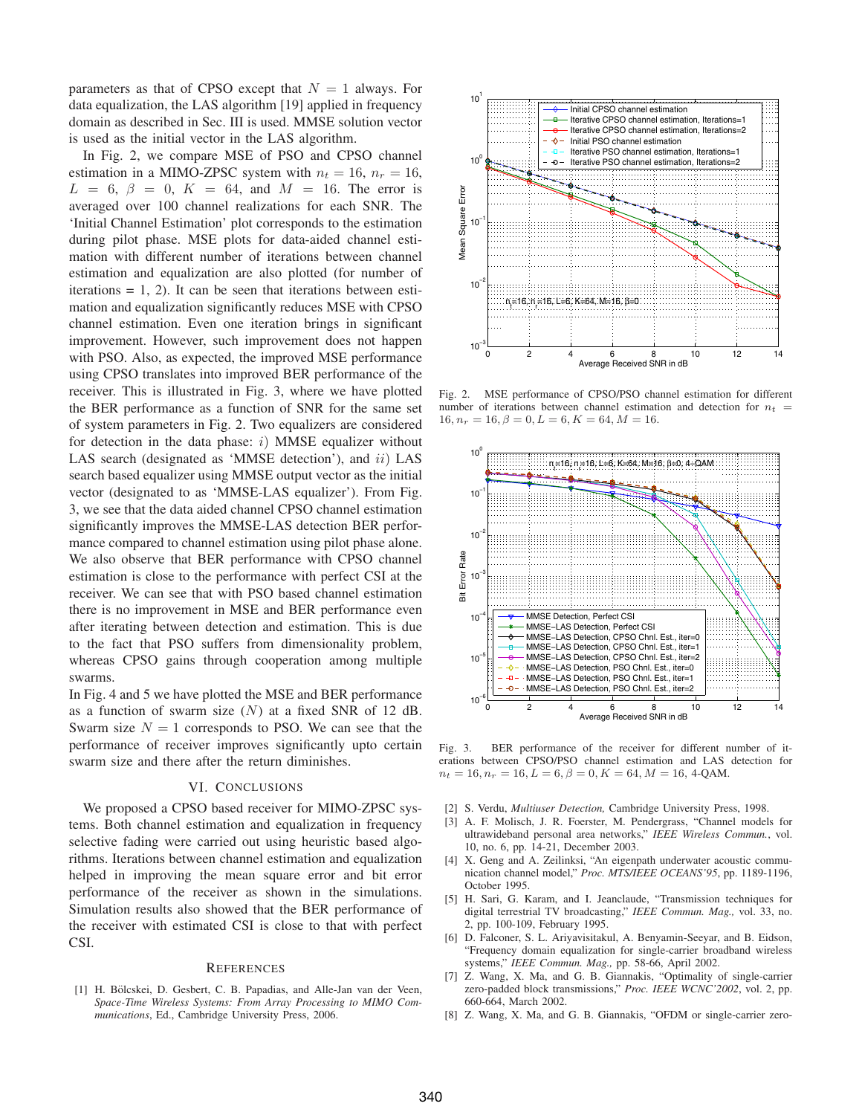parameters as that of CPSO except that  $N = 1$  always. For data equalization, the LAS algorithm [19] applied in frequency domain as described in Sec. III is used. MMSE solution vector is used as the initial vector in the LAS algorithm.

In Fig. 2, we compare MSE of PSO and CPSO channel estimation in a MIMO-ZPSC system with  $n_t = 16$ ,  $n_r = 16$ ,  $L = 6, \beta = 0, K = 64, \text{ and } M = 16.$  The error is averaged over 100 channel realizations for each SNR. The 'Initial Channel Estimation' plot corresponds to the estimation during pilot phase. MSE plots for data-aided channel estimation with different number of iterations between channel estimation and equalization are also plotted (for number of iterations  $= 1, 2$ ). It can be seen that iterations between estimation and equalization significantly reduces MSE with CPSO channel estimation. Even one iteration brings in significant improvement. However, such improvement does not happen with PSO. Also, as expected, the improved MSE performance using CPSO translates into improved BER performance of the receiver. This is illustrated in Fig. 3, where we have plotted the BER performance as a function of SNR for the same set of system parameters in Fig. 2. Two equalizers are considered for detection in the data phase:  $i)$  MMSE equalizer without LAS search (designated as 'MMSE detection'), and  $ii$ ) LAS search based equalizer using MMSE output vector as the initial vector (designated to as 'MMSE-LAS equalizer'). From Fig. 3, we see that the data aided channel CPSO channel estimation significantly improves the MMSE-LAS detection BER performance compared to channel estimation using pilot phase alone. We also observe that BER performance with CPSO channel estimation is close to the performance with perfect CSI at the receiver. We can see that with PSO based channel estimation there is no improvement in MSE and BER performance even after iterating between detection and estimation. This is due to the fact that PSO suffers from dimensionality problem, whereas CPSO gains through cooperation among multiple swarms.

In Fig. 4 and 5 we have plotted the MSE and BER performance as a function of swarm size  $(N)$  at a fixed SNR of 12 dB. Swarm size  $N = 1$  corresponds to PSO. We can see that the performance of receiver improves significantly upto certain swarm size and there after the return diminishes.

### VI. CONCLUSIONS

We proposed a CPSO based receiver for MIMO-ZPSC systems. Both channel estimation and equalization in frequency selective fading were carried out using heuristic based algorithms. Iterations between channel estimation and equalization helped in improving the mean square error and bit error performance of the receiver as shown in the simulations. Simulation results also showed that the BER performance of the receiver with estimated CSI is close to that with perfect CSI.

#### **REFERENCES**

[1] H. Bölcskei, D. Gesbert, C. B. Papadias, and Alle-Jan van der Veen, *Space-Time Wireless Systems: From Array Processing to MIMO Communications*, Ed., Cambridge University Press, 2006.



Fig. 2. MSE performance of CPSO/PSO channel estimation for different number of iterations between channel estimation and detection for  $n_t$  $16, n_r = 16, \beta = 0, L = 6, K = 64, M = 16.$ 



Fig. 3. BER performance of the receiver for different number of iterations between CPSO/PSO channel estimation and LAS detection for  $n_t = 16, n_r = 16, L = 6, \beta = 0, K = 64, M = 16, 4$ -QAM.

- [2] S. Verdu, *Multiuser Detection,* Cambridge University Press, 1998.
- [3] A. F. Molisch, J. R. Foerster, M. Pendergrass, "Channel models for ultrawideband personal area networks," *IEEE Wireless Commun.*, vol. 10, no. 6, pp. 14-21, December 2003.
- [4] X. Geng and A. Zeilinksi, "An eigenpath underwater acoustic communication channel model," *Proc. MTS/IEEE OCEANS'95*, pp. 1189-1196, October 1995.
- [5] H. Sari, G. Karam, and I. Jeanclaude, "Transmission techniques for digital terrestrial TV broadcasting," *IEEE Commun. Mag.,* vol. 33, no. 2, pp. 100-109, February 1995.
- [6] D. Falconer, S. L. Ariyavisitakul, A. Benyamin-Seeyar, and B. Eidson, "Frequency domain equalization for single-carrier broadband wireless systems," *IEEE Commun. Mag.,* pp. 58-66, April 2002.
- [7] Z. Wang, X. Ma, and G. B. Giannakis, "Optimality of single-carrier zero-padded block transmissions," *Proc. IEEE WCNC'2002*, vol. 2, pp. 660-664, March 2002.
- [8] Z. Wang, X. Ma, and G. B. Giannakis, "OFDM or single-carrier zero-